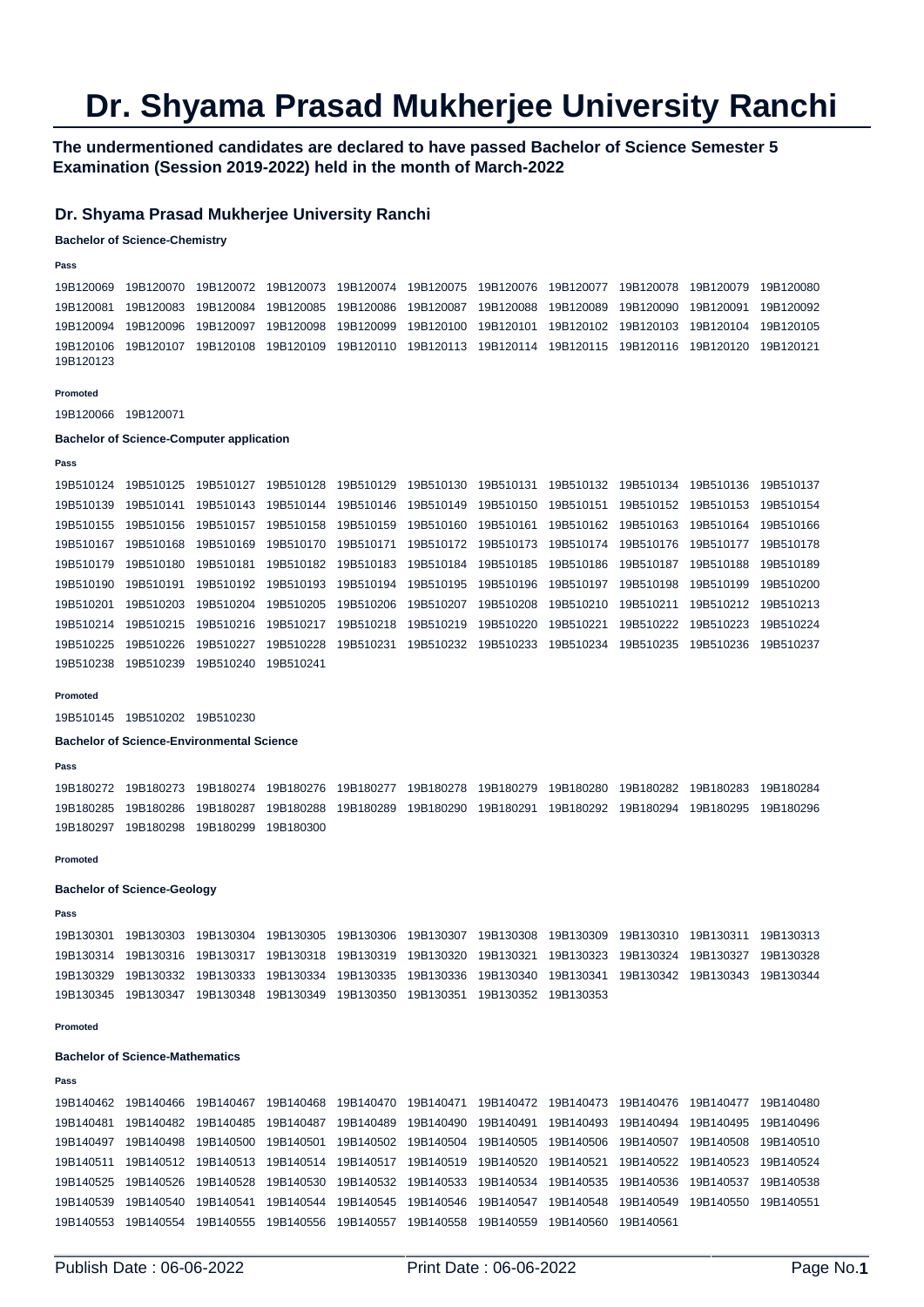# **Dr. Shyama Prasad Mukherjee University Ranchi**

## **The undermentioned candidates are declared to have passed Bachelor of Science Semester 5 Examination (Session 2019-2022) held in the month of March-2022**

## **Dr. Shyama Prasad Mukherjee University Ranchi**

### **Bachelor of Science-Chemistry**

### **Pass**

19B120069 19B120070 19B120072 19B120073 19B120074 19B120075 19B120076 19B120077 19B120078 19B120079 19B120080 19B120081 19B120083 19B120084 19B120085 19B120086 19B120087 19B120088 19B120089 19B120090 19B120091 19B120092 19B120094 19B120096 19B120097 19B120098 19B120099 19B120100 19B120101 19B120102 19B120103 19B120104 19B120105 19B120106 19B120107 19B120108 19B120109 19B120110 19B120113 19B120114 19B120115 19B120116 19B120120 19B120121 19B120123

#### **Promoted**

19B120066 19B120071

#### **Bachelor of Science-Computer application**

#### **Pass**

19B510124 19B510125 19B510127 19B510128 19B510129 19B510130 19B510131 19B510132 19B510134 19B510136 19B510137 19B510139 19B510141 19B510143 19B510144 19B510146 19B510149 19B510150 19B510151 19B510152 19B510153 19B510154 19B510155 19B510156 19B510157 19B510158 19B510159 19B510160 19B510161 19B510162 19B510163 19B510164 19B510166 19B510167 19B510168 19B510169 19B510170 19B510171 19B510172 19B510173 19B510174 19B510176 19B510177 19B510178 19B510179 19B510180 19B510181 19B510182 19B510183 19B510184 19B510185 19B510186 19B510187 19B510188 19B510189 19B510190 19B510191 19B510192 19B510193 19B510194 19B510195 19B510196 19B510197 19B510198 19B510199 19B510200 19B510201 19B510203 19B510204 19B510205 19B510206 19B510207 19B510208 19B510210 19B510211 19B510212 19B510213 19B510214 19B510215 19B510216 19B510217 19B510218 19B510219 19B510220 19B510221 19B510222 19B510223 19B510224 19B510225 19B510226 19B510227 19B510228 19B510231 19B510232 19B510233 19B510234 19B510235 19B510236 19B510237 19B510238 19B510239 19B510240 19B510241

#### **Promoted**

19B510145 19B510202 19B510230

**Bachelor of Science-Environmental Science** 

#### **Pass**

19B180272 19B180273 19B180274 19B180276 19B180277 19B180278 19B180279 19B180280 19B180282 19B180283 19B180284 19B180285 19B180286 19B180287 19B180288 19B180289 19B180290 19B180291 19B180292 19B180294 19B180295 19B180296 19B180297 19B180298 19B180299 19B180300

#### **Promoted**

#### **Bachelor of Science-Geology**

### **Pass**

19B130301 19B130303 19B130304 19B130305 19B130306 19B130307 19B130308 19B130309 19B130310 19B130311 19B130313 19B130314 19B130316 19B130317 19B130318 19B130319 19B130320 19B130321 19B130323 19B130324 19B130327 19B130328 19B130329 19B130332 19B130333 19B130334 19B130335 19B130336 19B130340 19B130341 19B130342 19B130343 19B130344 19B130345 19B130347 19B130348 19B130349 19B130350 19B130351 19B130352 19B130353

#### **Promoted**

#### **Bachelor of Science-Mathematics**

**Pass** 

```
19B140462 19B140466 19B140467 19B140468 19B140470 19B140471 19B140472 19B140473 19B140476 19B140477 19B140480 
19B140481 19B140482 19B140485 19B140487 19B140489 19B140490 19B140491 19B140493 19B140494 19B140495 19B140496 
19B140497 19B140498 19B140500 19B140501 19B140502 19B140504 19B140505 19B140506 19B140507 19B140508 19B140510 
19B140511 19B140512 19B140513 19B140514 19B140517 19B140519 19B140520 19B140521 19B140522 19B140523 19B140524 
19B140525 19B140526 19B140528 19B140530 19B140532 19B140533 19B140534 19B140535 19B140536 19B140537 19B140538 
19B140539 19B140540 19B140541 19B140544 19B140545 19B140546 19B140547 19B140548 19B140549 19B140550 19B140551 
19B140553 19B140554 19B140555 19B140556 19B140557 19B140558 19B140559 19B140560 19B140561
```